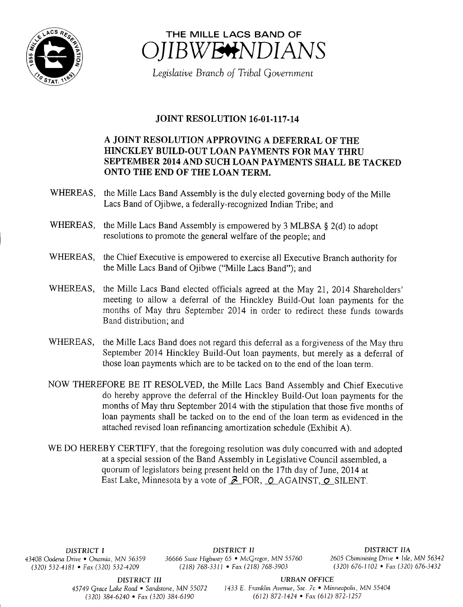



Legislative Branch of Tribal Government

## **JOINT RESOLUTION 16-01-117-14**

## A JOINT RESOLUTION APPROVING A DEFERRAL OF THE HINCKLEY BUILD-OUT LOAN PAYMENTS FOR MAY THRU SEPTEMBER 2014 AND SUCH LOAN PAYMENTS SHALL BE TACKED ONTO THE END OF THE LOAN TERM.

- WHEREAS, the Mille Lacs Band Assembly is the duly elected governing body of the Mille Lacs Band of Ojibwe, a federally-recognized Indian Tribe; and
- WHEREAS, the Mille Lacs Band Assembly is empowered by 3 MLBSA  $\S$  2(d) to adopt resolutions to promote the general welfare of the people; and
- WHEREAS, the Chief Executive is empowered to exercise all Executive Branch authority for the Mille Lacs Band of Ojibwe ("Mille Lacs Band"); and
- WHEREAS, the Mille Lacs Band elected officials agreed at the May 21, 2014 Shareholders' meeting to allow <sup>a</sup> deferral of the Hinckley Build-Out loan payments for the months of May thru September 2014 in order to redirect these funds towards Band distribution; and
- WHEREAS, the Mille Lacs Band does not regard this deferral as a forgiveness of the May thru September 2014 Hinckley Build-Out loan payments, but merely as <sup>a</sup> deferral of those loan payments which are to be tacked on to the end of the loan term.
- NOW THEREFORE BE IT RESOLVED, the Mille Lacs Band Assembly and Chief Executive do hereby approve the deferral of the Hinckley Build-Out loan payments for the months of May thru September 2014 with the stipulation that those five months of loan payments shall be tacked on to the end of the loan term as evidenced in the attached revised loan refinancing amortization schedule (Exhibit A).
- WE DO HEREBY CERTIFY, that the foregoing resolution was duly concurred with and adopted at <sup>a</sup> special session of the Band Assembly in Legislative Council assembled, a quorum of legislators being present held on the 17th day of June, 2014 at East Lake, Minnesota by a vote of  $\mathcal{Z}$  FOR,  $\mathcal{Q}$  AGAINST,  $\mathcal{O}$  SILENT.

 $(320)$  532-4181 • Fax(320) 532-4209

DISTRICT I DISTRICT II DISTRICT IIA 43408 Oodena Drive • Onamia, MN 56359 36666 State Highway 65 • McGregor, MN 55760 2605 Chiminising Drive • Isle, MN 56342<br>(320) 532-4181 • Fax (320) 532-4209 (218) 768-3311 • Fax (218) 768-3903 (320) 676-1102 • Fax (320)

DISTRICT III URBAN OFFICE

45749 grace Lake Road • Sandstone, MN 55072 1433 E. Franklin Avenue, Ste. 7c • Minneapolis, MN 55404 320) 384- 6240 • Fax( 320) 384- 6190 612) 872- 1424 • Fax( 612) 872- 1257